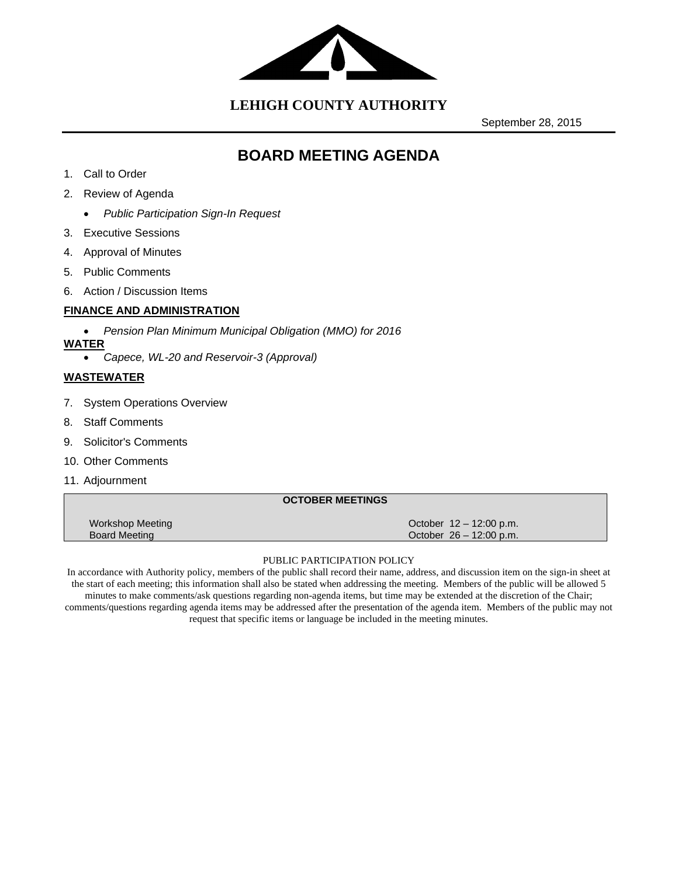

**LEHIGH COUNTY AUTHORITY**

September 28, 2015

# **BOARD MEETING AGENDA**

- 1. Call to Order
- 2. Review of Agenda
	- *Public Participation Sign-In Request*
- 3. Executive Sessions
- 4. Approval of Minutes
- 5. Public Comments
- 6. Action / Discussion Items

# **FINANCE AND ADMINISTRATION**

- *Pension Plan Minimum Municipal Obligation (MMO) for 2016*
- **WATER** 
	- *Capece, WL-20 and Reservoir-3 (Approval)*

# **WASTEWATER**

- 7. System Operations Overview
- 8. Staff Comments
- 9. Solicitor's Comments
- 10. Other Comments
- 11. Adjournment

|                                          | <b>OCTOBER MEETINGS</b> |                                                      |
|------------------------------------------|-------------------------|------------------------------------------------------|
| Workshop Meeting<br><b>Board Meeting</b> |                         | October 12 – 12:00 p.m.<br>October $26 - 12:00$ p.m. |

#### PUBLIC PARTICIPATION POLICY

In accordance with Authority policy, members of the public shall record their name, address, and discussion item on the sign-in sheet at the start of each meeting; this information shall also be stated when addressing the meeting. Members of the public will be allowed 5 minutes to make comments/ask questions regarding non-agenda items, but time may be extended at the discretion of the Chair; comments/questions regarding agenda items may be addressed after the presentation of the agenda item. Members of the public may not request that specific items or language be included in the meeting minutes.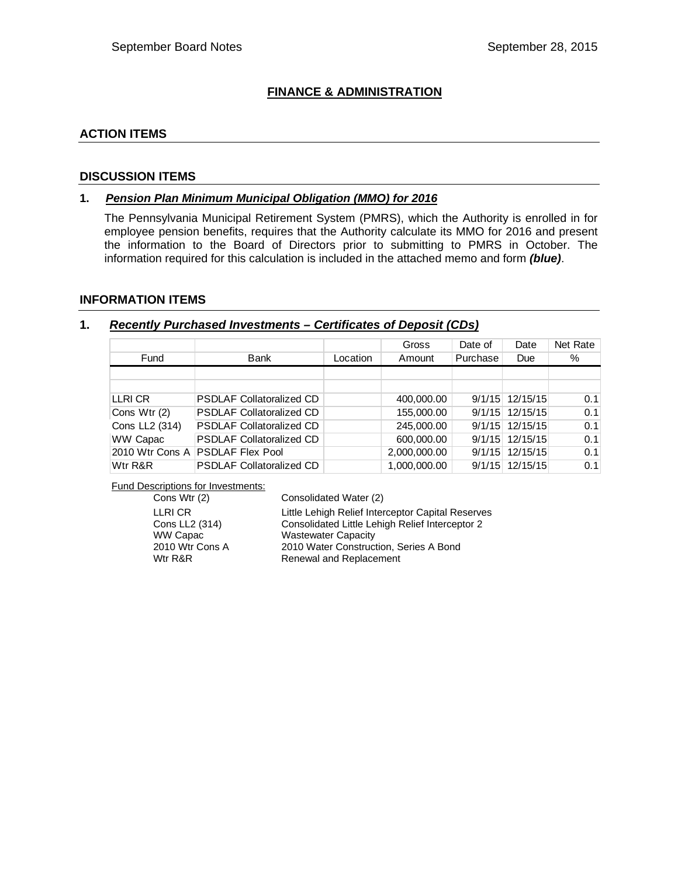# **FINANCE & ADMINISTRATION**

#### **ACTION ITEMS**

#### **DISCUSSION ITEMS**

#### **1.** *Pension Plan Minimum Municipal Obligation (MMO) for 2016*

The Pennsylvania Municipal Retirement System (PMRS), which the Authority is enrolled in for employee pension benefits, requires that the Authority calculate its MMO for 2016 and present the information to the Board of Directors prior to submitting to PMRS in October. The information required for this calculation is included in the attached memo and form *(blue)*.

#### **INFORMATION ITEMS**

#### **1.** *Recently Purchased Investments – Certificates of Deposit (CDs)*

|                 |                                 |          | Gross        | Date of  | Date              | Net Rate |
|-----------------|---------------------------------|----------|--------------|----------|-------------------|----------|
| Fund            | Bank                            | Location | Amount       | Purchase | Due               | %        |
|                 |                                 |          |              |          |                   |          |
|                 |                                 |          |              |          |                   |          |
| LLRI CR         | <b>PSDLAF Collatoralized CD</b> |          | 400,000.00   |          | $9/1/15$ 12/15/15 | 0.1      |
| Cons Wtr (2)    | <b>PSDLAF Collatoralized CD</b> |          | 155,000.00   |          | $9/1/15$ 12/15/15 | 0.1      |
| Cons LL2 (314)  | <b>PSDLAF Collatoralized CD</b> |          | 245,000.00   | 9/1/15   | 12/15/15          | 0.1      |
| WW Capac        | <b>PSDLAF Collatoralized CD</b> |          | 600,000.00   | 9/1/15   | 12/15/15          | 0.1      |
| 2010 Wtr Cons A | <b>PSDLAF Flex Pool</b>         |          | 2,000,000.00 |          | $9/1/15$ 12/15/15 | 0.1      |
| Wtr R&R         | <b>PSDLAF Collatoralized CD</b> |          | 1,000,000.00 | 9/1/15   | 12/15/15          | 0.1      |

**Fund Descriptions for Investments:**<br>Cons Wtr (2)

Consolidated Water (2)

| ________        |                                                   |
|-----------------|---------------------------------------------------|
| LLRI CR         | Little Lehigh Relief Interceptor Capital Reserves |
| Cons LL2 (314)  | Consolidated Little Lehigh Relief Interceptor 2   |
| WW Capac        | <b>Wastewater Capacity</b>                        |
| 2010 Wtr Cons A | 2010 Water Construction, Series A Bond            |
| Wtr R&R         | Renewal and Replacement                           |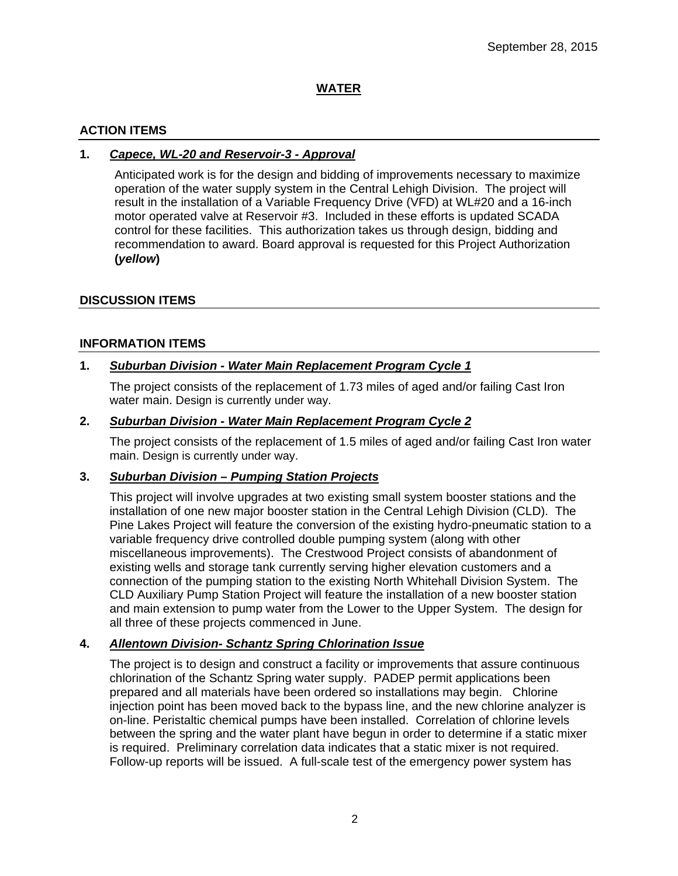# **WATER**

# **ACTION ITEMS**

# **1.** *Capece, WL-20 and Reservoir-3 - Approval*

Anticipated work is for the design and bidding of improvements necessary to maximize operation of the water supply system in the Central Lehigh Division. The project will result in the installation of a Variable Frequency Drive (VFD) at WL#20 and a 16-inch motor operated valve at Reservoir #3. Included in these efforts is updated SCADA control for these facilities. This authorization takes us through design, bidding and recommendation to award. Board approval is requested for this Project Authorization **(***yellow***)**

### **DISCUSSION ITEMS**

### **INFORMATION ITEMS**

### **1.** *Suburban Division - Water Main Replacement Program Cycle 1*

The project consists of the replacement of 1.73 miles of aged and/or failing Cast Iron water main. Design is currently under way.

#### **2.** *Suburban Division - Water Main Replacement Program Cycle 2*

The project consists of the replacement of 1.5 miles of aged and/or failing Cast Iron water main. Design is currently under way.

# **3.** *Suburban Division – Pumping Station Projects*

This project will involve upgrades at two existing small system booster stations and the installation of one new major booster station in the Central Lehigh Division (CLD). The Pine Lakes Project will feature the conversion of the existing hydro-pneumatic station to a variable frequency drive controlled double pumping system (along with other miscellaneous improvements). The Crestwood Project consists of abandonment of existing wells and storage tank currently serving higher elevation customers and a connection of the pumping station to the existing North Whitehall Division System. The CLD Auxiliary Pump Station Project will feature the installation of a new booster station and main extension to pump water from the Lower to the Upper System. The design for all three of these projects commenced in June.

# **4.** *Allentown Division- Schantz Spring Chlorination Issue*

The project is to design and construct a facility or improvements that assure continuous chlorination of the Schantz Spring water supply. PADEP permit applications been prepared and all materials have been ordered so installations may begin. Chlorine injection point has been moved back to the bypass line, and the new chlorine analyzer is on-line. Peristaltic chemical pumps have been installed. Correlation of chlorine levels between the spring and the water plant have begun in order to determine if a static mixer is required. Preliminary correlation data indicates that a static mixer is not required. Follow-up reports will be issued. A full-scale test of the emergency power system has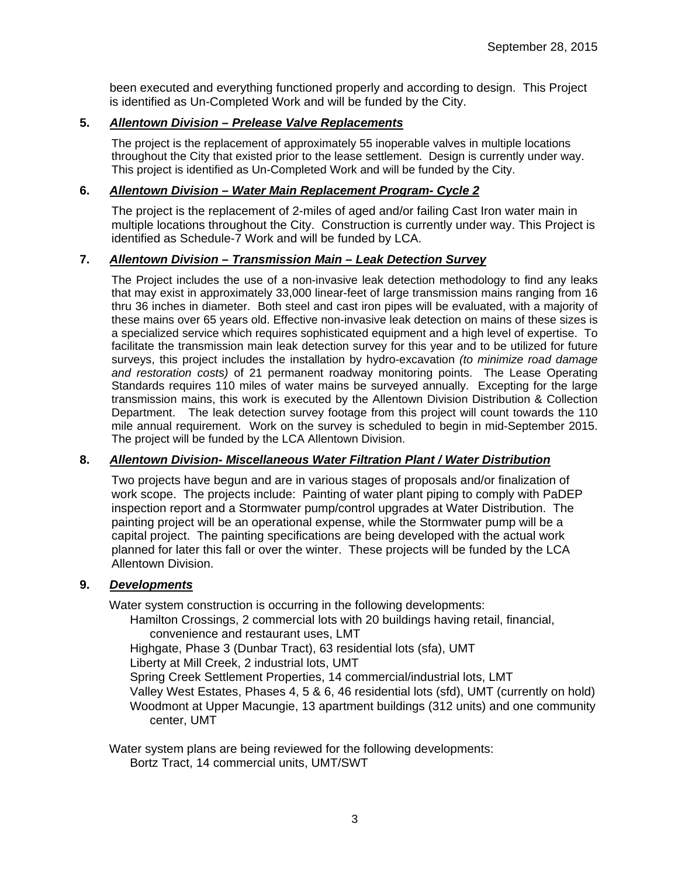been executed and everything functioned properly and according to design. This Project is identified as Un-Completed Work and will be funded by the City.

## **5.** *Allentown Division – Prelease Valve Replacements*

The project is the replacement of approximately 55 inoperable valves in multiple locations throughout the City that existed prior to the lease settlement. Design is currently under way. This project is identified as Un-Completed Work and will be funded by the City.

### **6.** *Allentown Division – Water Main Replacement Program- Cycle 2*

The project is the replacement of 2-miles of aged and/or failing Cast Iron water main in multiple locations throughout the City. Construction is currently under way. This Project is identified as Schedule-7 Work and will be funded by LCA.

### **7.** *Allentown Division – Transmission Main – Leak Detection Survey*

The Project includes the use of a non-invasive leak detection methodology to find any leaks that may exist in approximately 33,000 linear-feet of large transmission mains ranging from 16 thru 36 inches in diameter. Both steel and cast iron pipes will be evaluated, with a majority of these mains over 65 years old. Effective non-invasive leak detection on mains of these sizes is a specialized service which requires sophisticated equipment and a high level of expertise. To facilitate the transmission main leak detection survey for this year and to be utilized for future surveys, this project includes the installation by hydro-excavation *(to minimize road damage and restoration costs)* of 21 permanent roadway monitoring points. The Lease Operating Standards requires 110 miles of water mains be surveyed annually. Excepting for the large transmission mains, this work is executed by the Allentown Division Distribution & Collection Department. The leak detection survey footage from this project will count towards the 110 mile annual requirement. Work on the survey is scheduled to begin in mid-September 2015. The project will be funded by the LCA Allentown Division.

# **8.** *Allentown Division- Miscellaneous Water Filtration Plant / Water Distribution*

Two projects have begun and are in various stages of proposals and/or finalization of work scope. The projects include: Painting of water plant piping to comply with PaDEP inspection report and a Stormwater pump/control upgrades at Water Distribution. The painting project will be an operational expense, while the Stormwater pump will be a capital project. The painting specifications are being developed with the actual work planned for later this fall or over the winter. These projects will be funded by the LCA Allentown Division.

#### **9.** *Developments*

Water system construction is occurring in the following developments:

Hamilton Crossings, 2 commercial lots with 20 buildings having retail, financial, convenience and restaurant uses, LMT

Highgate, Phase 3 (Dunbar Tract), 63 residential lots (sfa), UMT

Liberty at Mill Creek, 2 industrial lots, UMT

Spring Creek Settlement Properties, 14 commercial/industrial lots, LMT

Valley West Estates, Phases 4, 5 & 6, 46 residential lots (sfd), UMT (currently on hold) Woodmont at Upper Macungie, 13 apartment buildings (312 units) and one community center, UMT

Water system plans are being reviewed for the following developments:

Bortz Tract, 14 commercial units, UMT/SWT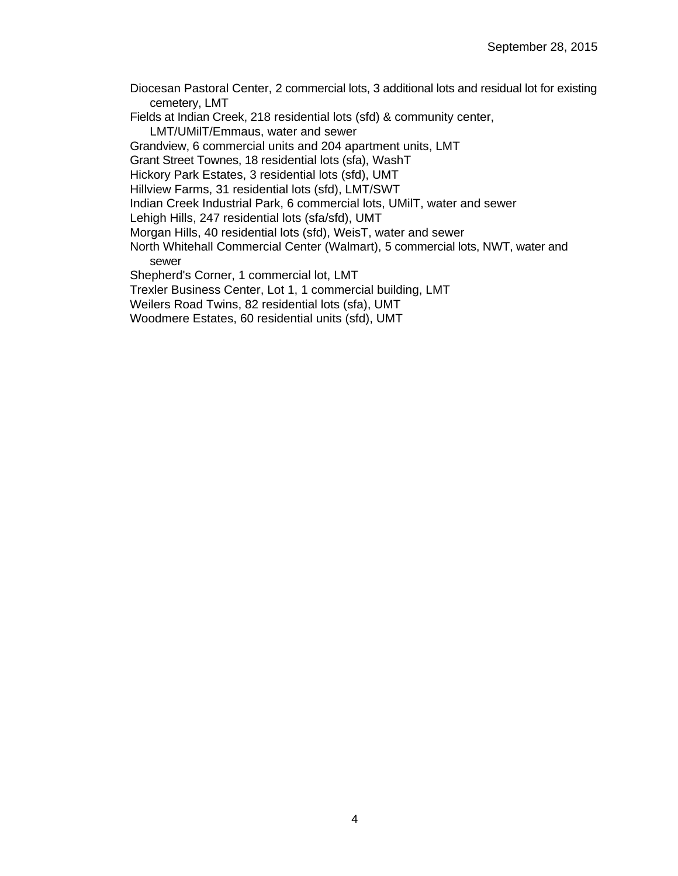- Diocesan Pastoral Center, 2 commercial lots, 3 additional lots and residual lot for existing cemetery, LMT
- Fields at Indian Creek, 218 residential lots (sfd) & community center,
	- LMT/UMilT/Emmaus, water and sewer
- Grandview, 6 commercial units and 204 apartment units, LMT
- Grant Street Townes, 18 residential lots (sfa), WashT
- Hickory Park Estates, 3 residential lots (sfd), UMT
- Hillview Farms, 31 residential lots (sfd), LMT/SWT
- Indian Creek Industrial Park, 6 commercial lots, UMilT, water and sewer
- Lehigh Hills, 247 residential lots (sfa/sfd), UMT
- Morgan Hills, 40 residential lots (sfd), WeisT, water and sewer
- North Whitehall Commercial Center (Walmart), 5 commercial lots, NWT, water and sewer
- Shepherd's Corner, 1 commercial lot, LMT
- Trexler Business Center, Lot 1, 1 commercial building, LMT
- Weilers Road Twins, 82 residential lots (sfa), UMT
- Woodmere Estates, 60 residential units (sfd), UMT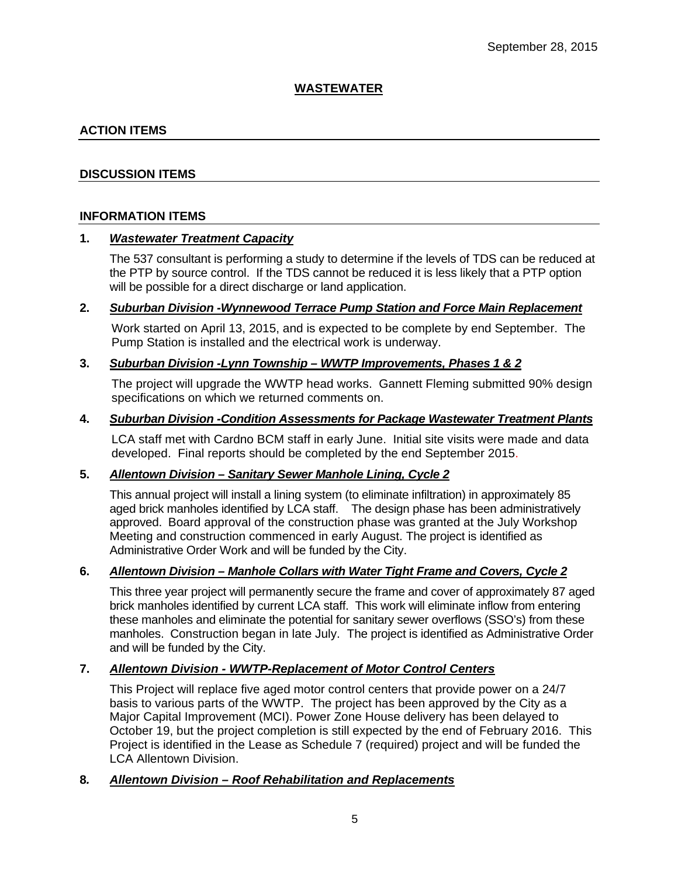# **WASTEWATER**

# **ACTION ITEMS**

### **DISCUSSION ITEMS**

#### **INFORMATION ITEMS**

#### **1.** *Wastewater Treatment Capacity*

The 537 consultant is performing a study to determine if the levels of TDS can be reduced at the PTP by source control. If the TDS cannot be reduced it is less likely that a PTP option will be possible for a direct discharge or land application.

#### **2.** *Suburban Division -Wynnewood Terrace Pump Station and Force Main Replacement*

Work started on April 13, 2015, and is expected to be complete by end September. The Pump Station is installed and the electrical work is underway.

#### **3.** *Suburban Division -Lynn Township – WWTP Improvements, Phases 1 & 2*

The project will upgrade the WWTP head works. Gannett Fleming submitted 90% design specifications on which we returned comments on.

#### **4.** *Suburban Division -Condition Assessments for Package Wastewater Treatment Plants*

LCA staff met with Cardno BCM staff in early June. Initial site visits were made and data developed. Final reports should be completed by the end September 2015.

### **5.** *Allentown Division – Sanitary Sewer Manhole Lining, Cycle 2*

This annual project will install a lining system (to eliminate infiltration) in approximately 85 aged brick manholes identified by LCA staff. The design phase has been administratively approved. Board approval of the construction phase was granted at the July Workshop Meeting and construction commenced in early August. The project is identified as Administrative Order Work and will be funded by the City.

#### **6.** *Allentown Division – Manhole Collars with Water Tight Frame and Covers, Cycle 2*

This three year project will permanently secure the frame and cover of approximately 87 aged brick manholes identified by current LCA staff. This work will eliminate inflow from entering these manholes and eliminate the potential for sanitary sewer overflows (SSO's) from these manholes. Construction began in late July. The project is identified as Administrative Order and will be funded by the City.

## **7.** *Allentown Division - WWTP-Replacement of Motor Control Centers*

This Project will replace five aged motor control centers that provide power on a 24/7 basis to various parts of the WWTP. The project has been approved by the City as a Major Capital Improvement (MCI). Power Zone House delivery has been delayed to October 19, but the project completion is still expected by the end of February 2016. This Project is identified in the Lease as Schedule 7 (required) project and will be funded the LCA Allentown Division.

# **8***. Allentown Division – Roof Rehabilitation and Replacements*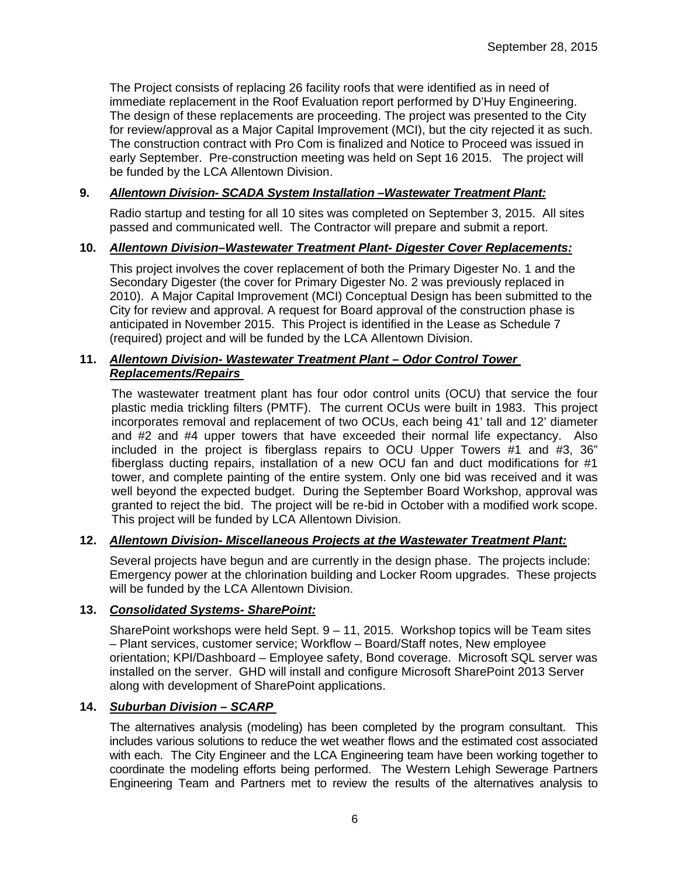The Project consists of replacing 26 facility roofs that were identified as in need of immediate replacement in the Roof Evaluation report performed by D'Huy Engineering. The design of these replacements are proceeding. The project was presented to the City for review/approval as a Major Capital Improvement (MCI), but the city rejected it as such. The construction contract with Pro Com is finalized and Notice to Proceed was issued in early September. Pre-construction meeting was held on Sept 16 2015. The project will be funded by the LCA Allentown Division.

# **9.** *Allentown Division- SCADA System Installation –Wastewater Treatment Plant:*

Radio startup and testing for all 10 sites was completed on September 3, 2015. All sites passed and communicated well. The Contractor will prepare and submit a report.

### **10.** *Allentown Division–Wastewater Treatment Plant- Digester Cover Replacements:*

This project involves the cover replacement of both the Primary Digester No. 1 and the Secondary Digester (the cover for Primary Digester No. 2 was previously replaced in 2010). A Major Capital Improvement (MCI) Conceptual Design has been submitted to the City for review and approval. A request for Board approval of the construction phase is anticipated in November 2015. This Project is identified in the Lease as Schedule 7 (required) project and will be funded by the LCA Allentown Division.

# **11.** *Allentown Division- Wastewater Treatment Plant – Odor Control Tower Replacements/Repairs*

The wastewater treatment plant has four odor control units (OCU) that service the four plastic media trickling filters (PMTF). The current OCUs were built in 1983. This project incorporates removal and replacement of two OCUs, each being 41' tall and 12' diameter and #2 and #4 upper towers that have exceeded their normal life expectancy. Also included in the project is fiberglass repairs to OCU Upper Towers #1 and #3, 36" fiberglass ducting repairs, installation of a new OCU fan and duct modifications for #1 tower, and complete painting of the entire system. Only one bid was received and it was well beyond the expected budget. During the September Board Workshop, approval was granted to reject the bid. The project will be re-bid in October with a modified work scope. This project will be funded by LCA Allentown Division.

# **12.** *Allentown Division- Miscellaneous Projects at the Wastewater Treatment Plant:*

Several projects have begun and are currently in the design phase. The projects include: Emergency power at the chlorination building and Locker Room upgrades. These projects will be funded by the LCA Allentown Division.

#### **13.** *Consolidated Systems- SharePoint:*

SharePoint workshops were held Sept.  $9 - 11$ , 2015. Workshop topics will be Team sites – Plant services, customer service; Workflow – Board/Staff notes, New employee orientation; KPI/Dashboard – Employee safety, Bond coverage. Microsoft SQL server was installed on the server. GHD will install and configure Microsoft SharePoint 2013 Server along with development of SharePoint applications.

### **14.** *Suburban Division – SCARP*

The alternatives analysis (modeling) has been completed by the program consultant. This includes various solutions to reduce the wet weather flows and the estimated cost associated with each. The City Engineer and the LCA Engineering team have been working together to coordinate the modeling efforts being performed. The Western Lehigh Sewerage Partners Engineering Team and Partners met to review the results of the alternatives analysis to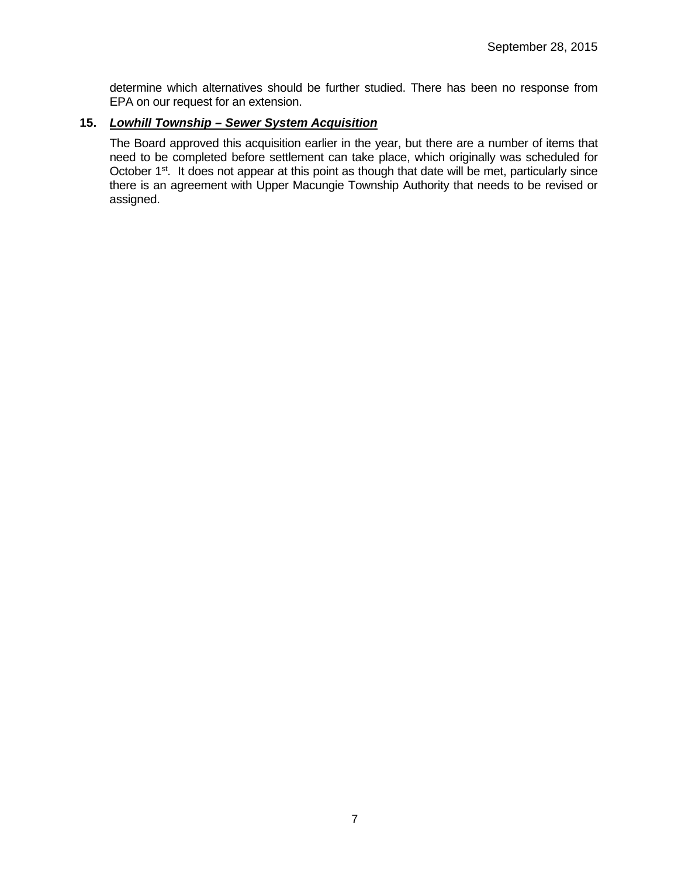determine which alternatives should be further studied. There has been no response from EPA on our request for an extension.

# **15.** *Lowhill Township – Sewer System Acquisition*

The Board approved this acquisition earlier in the year, but there are a number of items that need to be completed before settlement can take place, which originally was scheduled for October 1<sup>st</sup>. It does not appear at this point as though that date will be met, particularly since there is an agreement with Upper Macungie Township Authority that needs to be revised or assigned.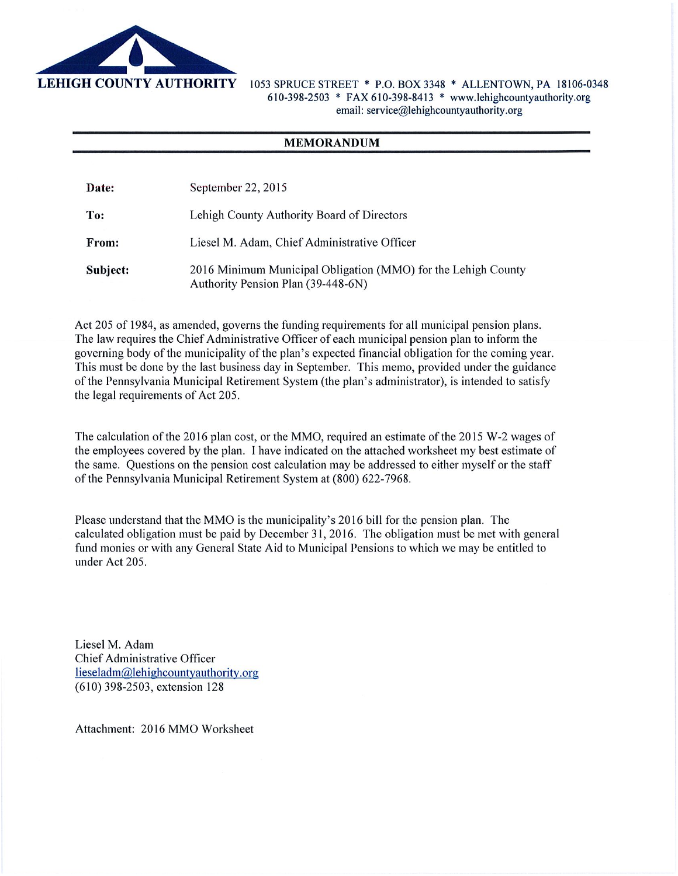

1053 SPRUCE STREET \* P.O. BOX 3348 \* ALLENTOWN, PA 18106-0348 610-398-2503 \* FAX 610-398-8413 \* www.lehighcountyauthority.org email: service@lehighcountyauthority.org

#### **MEMORANDUM**

Date: September 22, 2015

To: Lehigh County Authority Board of Directors

Liesel M. Adam, Chief Administrative Officer From:

Subject: 2016 Minimum Municipal Obligation (MMO) for the Lehigh County Authority Pension Plan (39-448-6N)

Act 205 of 1984, as amended, governs the funding requirements for all municipal pension plans. The law requires the Chief Administrative Officer of each municipal pension plan to inform the governing body of the municipality of the plan's expected financial obligation for the coming year. This must be done by the last business day in September. This memo, provided under the guidance of the Pennsylvania Municipal Retirement System (the plan's administrator), is intended to satisfy the legal requirements of Act 205.

The calculation of the 2016 plan cost, or the MMO, required an estimate of the 2015 W-2 wages of the employees covered by the plan. I have indicated on the attached worksheet my best estimate of the same. Ouestions on the pension cost calculation may be addressed to either myself or the staff of the Pennsylvania Municipal Retirement System at (800) 622-7968.

Please understand that the MMO is the municipality's 2016 bill for the pension plan. The calculated obligation must be paid by December 31, 2016. The obligation must be met with general fund monies or with any General State Aid to Municipal Pensions to which we may be entitled to under Act 205.

Liesel M. Adam Chief Administrative Officer lieseladm@lehighcountyauthority.org (610) 398-2503, extension 128

Attachment: 2016 MMO Worksheet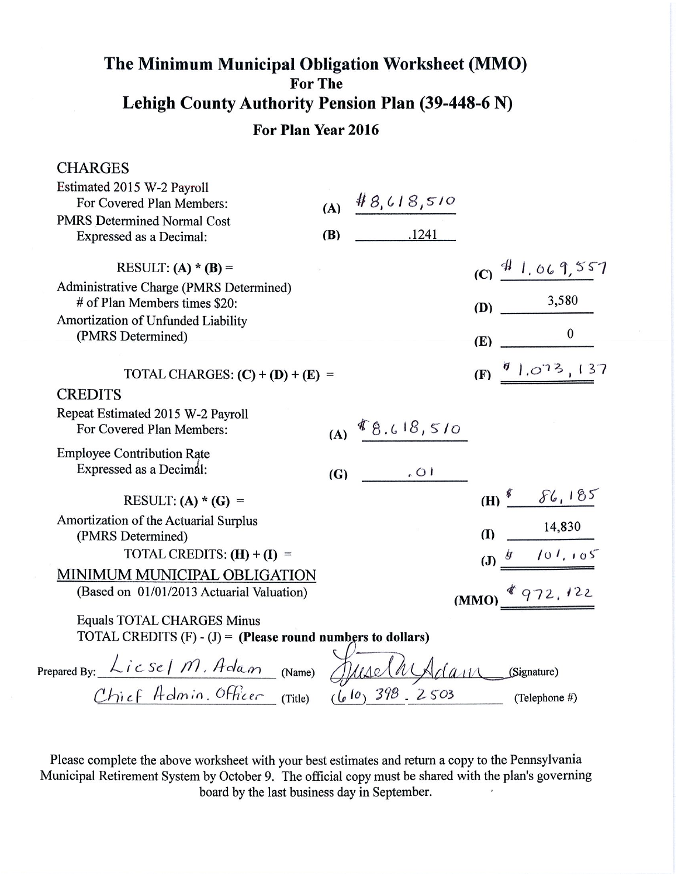# The Minimum Municipal Obligation Worksheet (MMO) For The Lehigh County Authority Pension Plan (39-448-6 N)

# For Plan Year 2016

| <b>CHARGES</b>                                                                              |            |                    |            |                             |  |
|---------------------------------------------------------------------------------------------|------------|--------------------|------------|-----------------------------|--|
| Estimated 2015 W-2 Payroll                                                                  |            |                    |            |                             |  |
| For Covered Plan Members:                                                                   | (A)        | #8,618,510         |            |                             |  |
| <b>PMRS Determined Normal Cost</b>                                                          |            |                    |            |                             |  |
| Expressed as a Decimal:                                                                     | <b>(B)</b> | .1241              |            |                             |  |
| RESULT: (A) * (B) =                                                                         |            |                    |            | $(C)$ $41.069,557$          |  |
| Administrative Charge (PMRS Determined)<br># of Plan Members times \$20:                    |            |                    | (D)        | 3,580                       |  |
| Amortization of Unfunded Liability                                                          |            |                    |            |                             |  |
| (PMRS Determined)                                                                           |            |                    | (E)        | $\bf{0}$                    |  |
|                                                                                             |            |                    |            |                             |  |
| TOTAL CHARGES: $(C) + (D) + (E) =$                                                          |            |                    | (F)        | 91.073,137                  |  |
| <b>CREDITS</b>                                                                              |            |                    |            |                             |  |
| Repeat Estimated 2015 W-2 Payroll<br>For Covered Plan Members:                              |            | (A) $8.618,510$    |            |                             |  |
| <b>Employee Contribution Rate</b>                                                           |            |                    |            |                             |  |
| Expressed as a Decimal:                                                                     | (G)        | 10,                |            |                             |  |
| RESULT: (A) * (G) =                                                                         |            |                    |            | $(H)$ <sup>8</sup> $86,185$ |  |
| Amortization of the Actuarial Surplus<br>(PMRS Determined)                                  |            |                    | <b>(I)</b> | 14,830                      |  |
| TOTAL CREDITS: $(H) + (I) =$                                                                |            |                    |            | (J) $\frac{g}{g}$ /01, 105  |  |
| MINIMUM MUNICIPAL OBLIGATION                                                                |            |                    |            |                             |  |
| (Based on 01/01/2013 Actuarial Valuation)                                                   |            |                    |            | $(MMO)$ $(972, 122)$        |  |
| Equals TOTAL CHARGES Minus<br>TOTAL CREDITS $(F) - (J) =$ (Please round numbers to dollars) |            |                    |            |                             |  |
| Prepared By: $\angle$ i c Se   M. Adam (Name)                                               |            | Juselh Adam        |            | (Signature)                 |  |
| Chief Admin. Officer (Title)                                                                |            | $(b10) 398 - 2503$ |            | (Telephone #)               |  |
|                                                                                             |            |                    |            |                             |  |

Please complete the above worksheet with your best estimates and return a copy to the Pennsylvania Municipal Retirement System by October 9. The official copy must be shared with the plan's governing board by the last business day in September.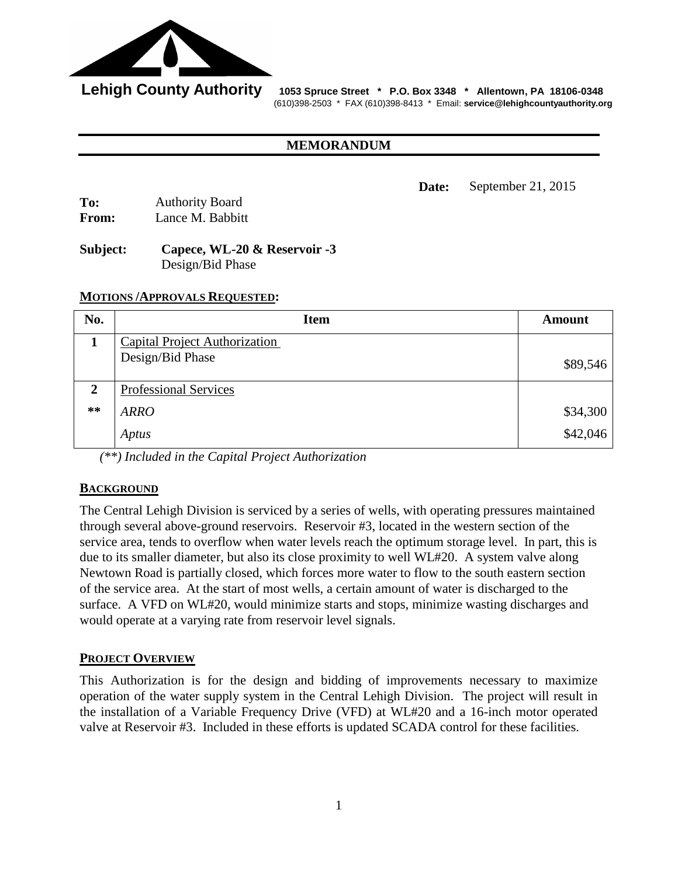

 **Lehigh County Authority 1053 Spruce Street \* P.O. Box 3348 \* Allentown, PA 18106-0348** (610)398-2503 \* FAX (610)398-8413 \* Email: **service@lehighcountyauthority.org**

#### **MEMORANDUM**

**Date:** September 21, 2015

| To:   | <b>Authority Board</b> |
|-------|------------------------|
| From: | Lance M. Babbitt       |

# **Subject: Capece, WL-20 & Reservoir -3** Design/Bid Phase

### **MOTIONS /APPROVALS REQUESTED:**

| No.          | <b>Item</b>                          | <b>Amount</b> |
|--------------|--------------------------------------|---------------|
|              | <b>Capital Project Authorization</b> |               |
|              | Design/Bid Phase                     | \$89,546      |
| $\mathbf{2}$ | Professional Services                |               |
| $***$        | <b>ARRO</b>                          | \$34,300      |
|              | Aptus                                | \$42,046      |

*(\*\*) Included in the Capital Project Authorization* 

# **BACKGROUND**

The Central Lehigh Division is serviced by a series of wells, with operating pressures maintained through several above-ground reservoirs. Reservoir #3, located in the western section of the service area, tends to overflow when water levels reach the optimum storage level. In part, this is due to its smaller diameter, but also its close proximity to well WL#20. A system valve along Newtown Road is partially closed, which forces more water to flow to the south eastern section of the service area. At the start of most wells, a certain amount of water is discharged to the surface. A VFD on WL#20, would minimize starts and stops, minimize wasting discharges and would operate at a varying rate from reservoir level signals.

# **PROJECT OVERVIEW**

This Authorization is for the design and bidding of improvements necessary to maximize operation of the water supply system in the Central Lehigh Division. The project will result in the installation of a Variable Frequency Drive (VFD) at WL#20 and a 16-inch motor operated valve at Reservoir #3. Included in these efforts is updated SCADA control for these facilities.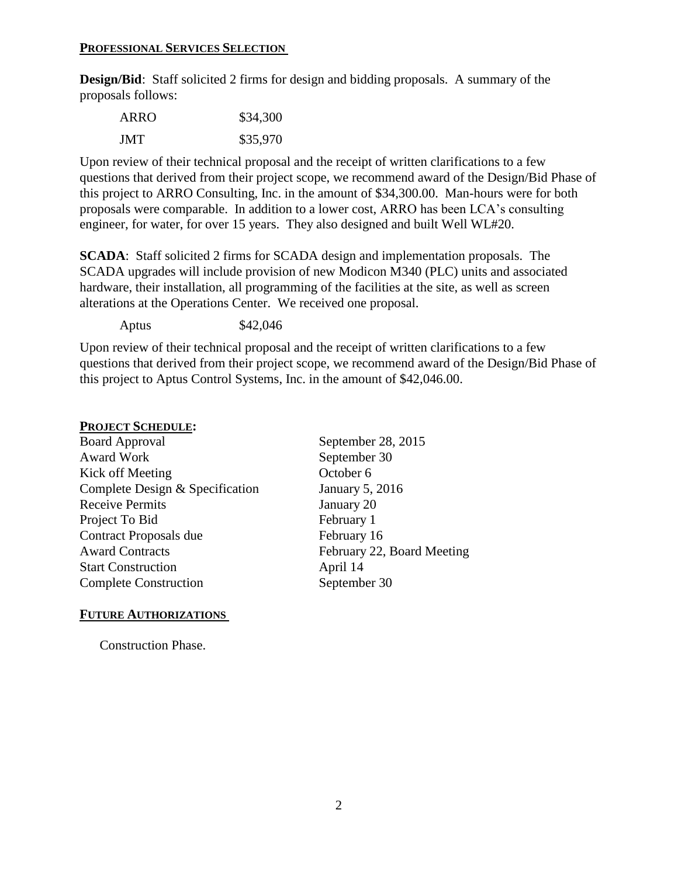#### **PROFESSIONAL SERVICES SELECTION**

**Design/Bid**: Staff solicited 2 firms for design and bidding proposals. A summary of the proposals follows:

| ARRO | \$34,300 |
|------|----------|
| JMT  | \$35,970 |

Upon review of their technical proposal and the receipt of written clarifications to a few questions that derived from their project scope, we recommend award of the Design/Bid Phase of this project to ARRO Consulting, Inc. in the amount of \$34,300.00. Man-hours were for both proposals were comparable. In addition to a lower cost, ARRO has been LCA's consulting engineer, for water, for over 15 years. They also designed and built Well WL#20.

**SCADA**: Staff solicited 2 firms for SCADA design and implementation proposals. The SCADA upgrades will include provision of new Modicon M340 (PLC) units and associated hardware, their installation, all programming of the facilities at the site, as well as screen alterations at the Operations Center. We received one proposal.

Aptus \$42,046

Upon review of their technical proposal and the receipt of written clarifications to a few questions that derived from their project scope, we recommend award of the Design/Bid Phase of this project to Aptus Control Systems, Inc. in the amount of \$42,046.00.

### **PROJECT SCHEDULE:**

Board Approval September 28, 2015 Award Work September 30 Kick off Meeting October 6 Complete Design & Specification January 5, 2016 Receive Permits January 20 Project To Bid February 1 Contract Proposals due February 16 Award Contracts February 22, Board Meeting Start Construction April 14 Complete Construction September 30

# **FUTURE AUTHORIZATIONS**

Construction Phase.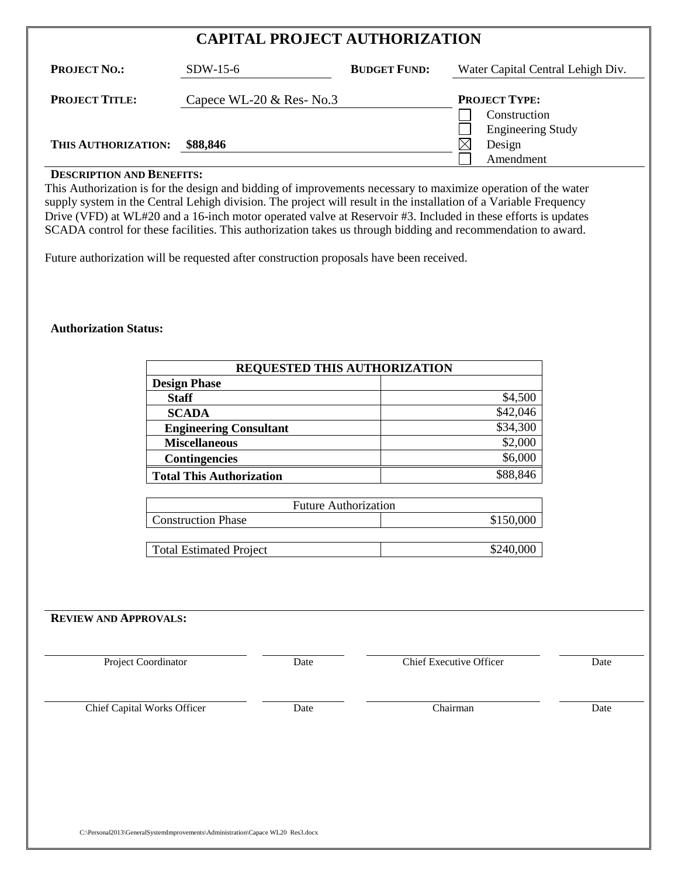| <b>CAPITAL PROJECT AUTHORIZATION</b> |                           |                     |                                                 |  |
|--------------------------------------|---------------------------|---------------------|-------------------------------------------------|--|
| <b>PROJECT NO.:</b>                  | $SDW-15-6$                | <b>BUDGET FUND:</b> | Water Capital Central Lehigh Div.               |  |
| <b>PROJECT TITLE:</b>                | Capece WL-20 $&$ Res-No.3 |                     | <b>PROJECT TYPE:</b><br>Construction            |  |
| THIS AUTHORIZATION:                  | \$88,846                  |                     | <b>Engineering Study</b><br>Design<br>Amendment |  |

## **DESCRIPTION AND BENEFITS:**

This Authorization is for the design and bidding of improvements necessary to maximize operation of the water supply system in the Central Lehigh division. The project will result in the installation of a Variable Frequency Drive (VFD) at WL#20 and a 16-inch motor operated valve at Reservoir #3. Included in these efforts is updates SCADA control for these facilities. This authorization takes us through bidding and recommendation to award.

Future authorization will be requested after construction proposals have been received.

#### **Authorization Status:**

| REQUESTED THIS AUTHORIZATION    |          |  |
|---------------------------------|----------|--|
| <b>Design Phase</b>             |          |  |
| <b>Staff</b>                    | \$4,500  |  |
| <b>SCADA</b>                    | \$42,046 |  |
| <b>Engineering Consultant</b>   | \$34,300 |  |
| <b>Miscellaneous</b>            | \$2,000  |  |
| <b>Contingencies</b>            | \$6,000  |  |
| <b>Total This Authorization</b> |          |  |

| <b>Future Authorization</b>            |  |  |
|----------------------------------------|--|--|
| \$150,000<br><b>Construction Phase</b> |  |  |
|                                        |  |  |

| Total Estimated Project | \$240,000 |
|-------------------------|-----------|
|                         |           |

#### **REVIEW AND APPROVALS:**

| Project Coordinator                | <b>Chief Executive Officer</b><br>Date |          | Date |
|------------------------------------|----------------------------------------|----------|------|
| <b>Chief Capital Works Officer</b> | Date                                   | Chairman | Date |
|                                    |                                        |          |      |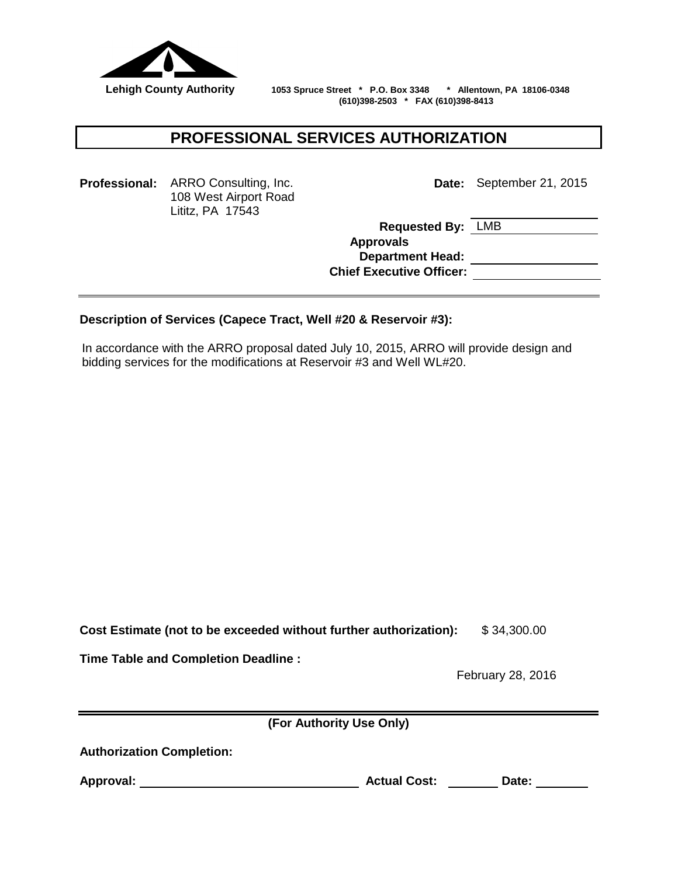

 **Lehigh County Authority 1053 Spruce Street \* P.O. Box 3348 \* Allentown, PA 18106-0348 (610)398-2503 \* FAX (610)398-8413**

# **PROFESSIONAL SERVICES AUTHORIZATION**

**Professional:** ARRO Consulting, Inc. 108 West Airport Road Lititz, PA 17543

**Date:** September 21, 2015

**Requested By:** LMB **Approvals Department Head: Chief Executive Officer:**

### **Description of Services (Capece Tract, Well #20 & Reservoir #3):**

In accordance with the ARRO proposal dated July 10, 2015, ARRO will provide design and bidding services for the modifications at Reservoir #3 and Well WL#20.

**Cost Estimate (not to be exceeded without further authorization):** \$ 34,300.00

**Time Table and Completion Deadline :**

February 28, 2016

**(For Authority Use Only)**

**Authorization Completion:** 

**Approval: Actual Cost: Date:**